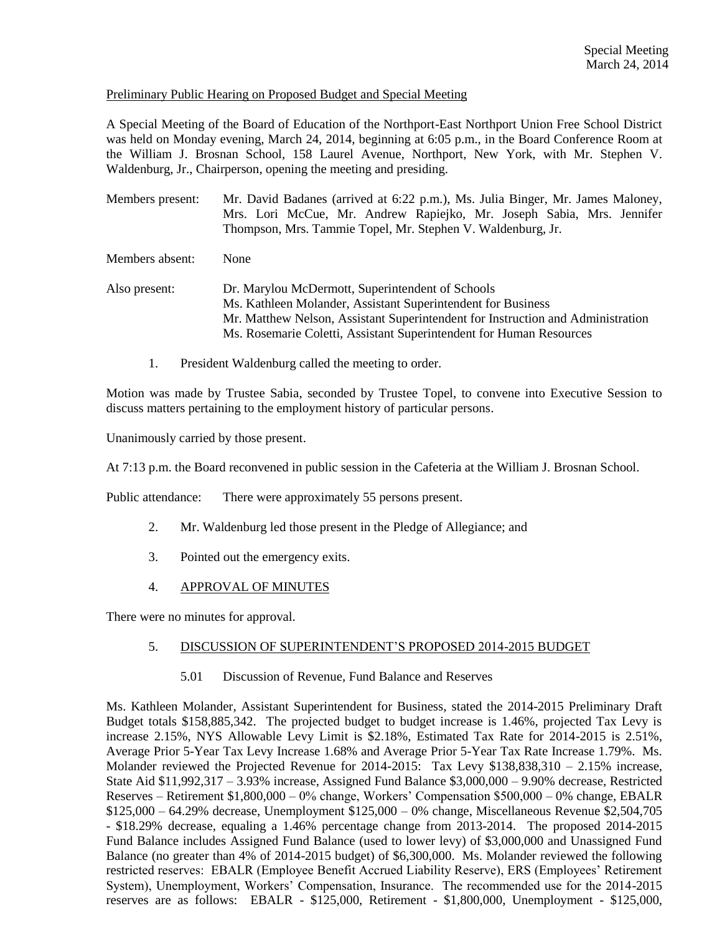### Preliminary Public Hearing on Proposed Budget and Special Meeting

A Special Meeting of the Board of Education of the Northport-East Northport Union Free School District was held on Monday evening, March 24, 2014, beginning at 6:05 p.m., in the Board Conference Room at the William J. Brosnan School, 158 Laurel Avenue, Northport, New York, with Mr. Stephen V. Waldenburg, Jr., Chairperson, opening the meeting and presiding.

Members present: Mr. David Badanes (arrived at 6:22 p.m.), Ms. Julia Binger, Mr. James Maloney, Mrs. Lori McCue, Mr. Andrew Rapiejko, Mr. Joseph Sabia, Mrs. Jennifer Thompson, Mrs. Tammie Topel, Mr. Stephen V. Waldenburg, Jr.

Members absent: None

- Also present: Dr. Marylou McDermott, Superintendent of Schools Ms. Kathleen Molander, Assistant Superintendent for Business Mr. Matthew Nelson, Assistant Superintendent for Instruction and Administration Ms. Rosemarie Coletti, Assistant Superintendent for Human Resources
	- 1. President Waldenburg called the meeting to order.

Motion was made by Trustee Sabia, seconded by Trustee Topel, to convene into Executive Session to discuss matters pertaining to the employment history of particular persons.

Unanimously carried by those present.

At 7:13 p.m. the Board reconvened in public session in the Cafeteria at the William J. Brosnan School.

Public attendance: There were approximately 55 persons present.

- 2. Mr. Waldenburg led those present in the Pledge of Allegiance; and
- 3. Pointed out the emergency exits.
- 4. APPROVAL OF MINUTES

There were no minutes for approval.

### 5. DISCUSSION OF SUPERINTENDENT'S PROPOSED 2014-2015 BUDGET

5.01 Discussion of Revenue, Fund Balance and Reserves

Ms. Kathleen Molander, Assistant Superintendent for Business, stated the 2014-2015 Preliminary Draft Budget totals \$158,885,342. The projected budget to budget increase is 1.46%, projected Tax Levy is increase 2.15%, NYS Allowable Levy Limit is \$2.18%, Estimated Tax Rate for 2014-2015 is 2.51%, Average Prior 5-Year Tax Levy Increase 1.68% and Average Prior 5-Year Tax Rate Increase 1.79%. Ms. Molander reviewed the Projected Revenue for 2014-2015: Tax Levy \$138,838,310 – 2.15% increase, State Aid \$11,992,317 – 3.93% increase, Assigned Fund Balance \$3,000,000 – 9.90% decrease, Restricted Reserves – Retirement \$1,800,000 – 0% change, Workers' Compensation \$500,000 – 0% change, EBALR \$125,000 – 64.29% decrease, Unemployment \$125,000 – 0% change, Miscellaneous Revenue \$2,504,705 - \$18.29% decrease, equaling a 1.46% percentage change from 2013-2014. The proposed 2014-2015 Fund Balance includes Assigned Fund Balance (used to lower levy) of \$3,000,000 and Unassigned Fund Balance (no greater than 4% of 2014-2015 budget) of \$6,300,000. Ms. Molander reviewed the following restricted reserves: EBALR (Employee Benefit Accrued Liability Reserve), ERS (Employees' Retirement System), Unemployment, Workers' Compensation, Insurance. The recommended use for the 2014-2015 reserves are as follows: EBALR - \$125,000, Retirement - \$1,800,000, Unemployment - \$125,000,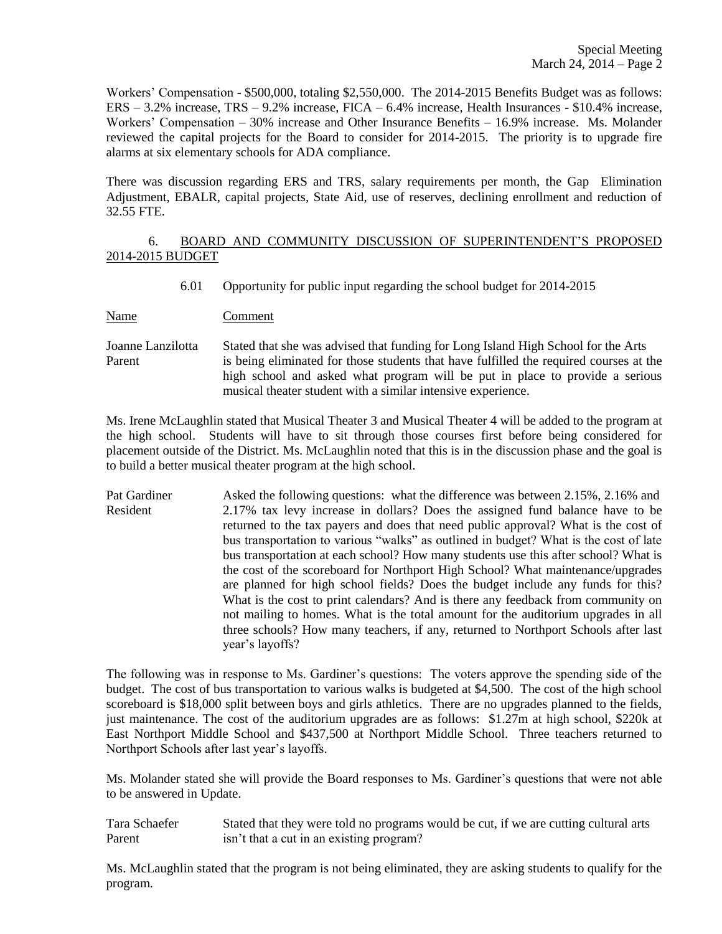Workers' Compensation - \$500,000, totaling \$2,550,000. The 2014-2015 Benefits Budget was as follows: ERS – 3.2% increase, TRS – 9.2% increase, FICA – 6.4% increase, Health Insurances - \$10.4% increase, Workers' Compensation – 30% increase and Other Insurance Benefits – 16.9% increase. Ms. Molander reviewed the capital projects for the Board to consider for 2014-2015. The priority is to upgrade fire alarms at six elementary schools for ADA compliance.

There was discussion regarding ERS and TRS, salary requirements per month, the Gap Elimination Adjustment, EBALR, capital projects, State Aid, use of reserves, declining enrollment and reduction of 32.55 FTE.

# 6. BOARD AND COMMUNITY DISCUSSION OF SUPERINTENDENT'S PROPOSED 2014-2015 BUDGET

- 6.01 Opportunity for public input regarding the school budget for 2014-2015
- Name Comment
- Joanne Lanzilotta Stated that she was advised that funding for Long Island High School for the Arts Parent is being eliminated for those students that have fulfilled the required courses at the high school and asked what program will be put in place to provide a serious musical theater student with a similar intensive experience.

Ms. Irene McLaughlin stated that Musical Theater 3 and Musical Theater 4 will be added to the program at the high school. Students will have to sit through those courses first before being considered for placement outside of the District. Ms. McLaughlin noted that this is in the discussion phase and the goal is to build a better musical theater program at the high school.

Pat Gardiner Asked the following questions: what the difference was between 2.15%, 2.16% and Resident 2.17% tax levy increase in dollars? Does the assigned fund balance have to be returned to the tax payers and does that need public approval? What is the cost of bus transportation to various "walks" as outlined in budget? What is the cost of late bus transportation at each school? How many students use this after school? What is the cost of the scoreboard for Northport High School? What maintenance/upgrades are planned for high school fields? Does the budget include any funds for this? What is the cost to print calendars? And is there any feedback from community on not mailing to homes. What is the total amount for the auditorium upgrades in all three schools? How many teachers, if any, returned to Northport Schools after last year's layoffs?

The following was in response to Ms. Gardiner's questions: The voters approve the spending side of the budget. The cost of bus transportation to various walks is budgeted at \$4,500. The cost of the high school scoreboard is \$18,000 split between boys and girls athletics. There are no upgrades planned to the fields, just maintenance. The cost of the auditorium upgrades are as follows: \$1.27m at high school, \$220k at East Northport Middle School and \$437,500 at Northport Middle School. Three teachers returned to Northport Schools after last year's layoffs.

Ms. Molander stated she will provide the Board responses to Ms. Gardiner's questions that were not able to be answered in Update.

Tara Schaefer Stated that they were told no programs would be cut, if we are cutting cultural arts Parent isn't that a cut in an existing program?

Ms. McLaughlin stated that the program is not being eliminated, they are asking students to qualify for the program.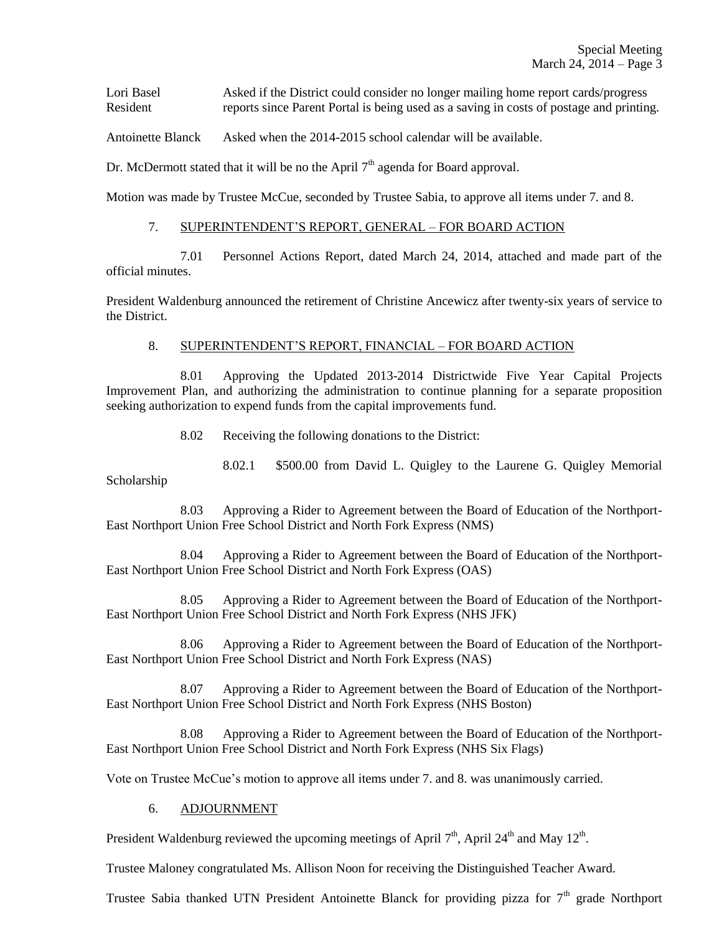Lori Basel Asked if the District could consider no longer mailing home report cards/progress Resident reports since Parent Portal is being used as a saving in costs of postage and printing.

Antoinette Blanck Asked when the 2014-2015 school calendar will be available.

Dr. McDermott stated that it will be no the April  $7<sup>th</sup>$  agenda for Board approval.

Motion was made by Trustee McCue, seconded by Trustee Sabia, to approve all items under 7. and 8.

## 7. SUPERINTENDENT'S REPORT, GENERAL – FOR BOARD ACTION

7.01 Personnel Actions Report, dated March 24, 2014, attached and made part of the official minutes.

President Waldenburg announced the retirement of Christine Ancewicz after twenty-six years of service to the District.

## 8. SUPERINTENDENT'S REPORT, FINANCIAL – FOR BOARD ACTION

8.01 Approving the Updated 2013-2014 Districtwide Five Year Capital Projects Improvement Plan, and authorizing the administration to continue planning for a separate proposition seeking authorization to expend funds from the capital improvements fund.

8.02 Receiving the following donations to the District:

8.02.1 \$500.00 from David L. Quigley to the Laurene G. Quigley Memorial Scholarship

8.03 Approving a Rider to Agreement between the Board of Education of the Northport-East Northport Union Free School District and North Fork Express (NMS)

8.04 Approving a Rider to Agreement between the Board of Education of the Northport-East Northport Union Free School District and North Fork Express (OAS)

8.05 Approving a Rider to Agreement between the Board of Education of the Northport-East Northport Union Free School District and North Fork Express (NHS JFK)

8.06 Approving a Rider to Agreement between the Board of Education of the Northport-East Northport Union Free School District and North Fork Express (NAS)

8.07 Approving a Rider to Agreement between the Board of Education of the Northport-East Northport Union Free School District and North Fork Express (NHS Boston)

8.08 Approving a Rider to Agreement between the Board of Education of the Northport-East Northport Union Free School District and North Fork Express (NHS Six Flags)

Vote on Trustee McCue's motion to approve all items under 7. and 8. was unanimously carried.

## 6. ADJOURNMENT

President Waldenburg reviewed the upcoming meetings of April  $7<sup>th</sup>$ , April 24<sup>th</sup> and May 12<sup>th</sup>.

Trustee Maloney congratulated Ms. Allison Noon for receiving the Distinguished Teacher Award.

Trustee Sabia thanked UTN President Antoinette Blanck for providing pizza for  $7<sup>th</sup>$  grade Northport